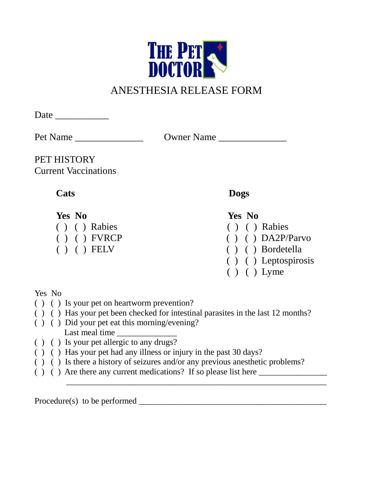

# ANESTHESIA RELEASE FORM

Date \_\_\_\_\_\_\_\_\_\_\_

Pet Name \_\_\_\_\_\_\_\_\_\_\_\_\_\_ Owner Name \_\_\_\_\_\_\_\_\_\_\_\_\_\_

PET HISTORY Current Vaccinations

- ( ) ( ) Rabies ( ) ( ) Rabies
- 
- 

## **Cats Dogs**

**Yes No Yes No**

- 
- ( ) ( ) FVRCP ( ) ( ) DA2P/Parvo<br>( ) ( ) FELV ( ) ( ) Bordetella
	- ( ) ( ) Bordetella
	- ( ) ( ) Leptospirosis
	- ( ) ( ) Lyme

### Yes No

- ( ) ( ) Is your pet on heartworm prevention?
- ( ) ( ) Has your pet been checked for intestinal parasites in the last 12 months?
- ( ) ( ) Did your pet eat this morning/evening? Last meal time
- ( ) ( ) Is your pet allergic to any drugs?
- ( ) ( ) Has your pet had any illness or injury in the past 30 days?
- ( ) ( ) Is there a history of seizures and/or any previous anesthetic problems?

 $\overline{\phantom{a}}$  ,  $\overline{\phantom{a}}$  ,  $\overline{\phantom{a}}$  ,  $\overline{\phantom{a}}$  ,  $\overline{\phantom{a}}$  ,  $\overline{\phantom{a}}$  ,  $\overline{\phantom{a}}$  ,  $\overline{\phantom{a}}$  ,  $\overline{\phantom{a}}$  ,  $\overline{\phantom{a}}$  ,  $\overline{\phantom{a}}$  ,  $\overline{\phantom{a}}$  ,  $\overline{\phantom{a}}$  ,  $\overline{\phantom{a}}$  ,  $\overline{\phantom{a}}$  ,  $\overline{\phantom{a}}$ 

 $( )$  ( ) Are there any current medications? If so please list here

Procedure(s) to be performed \_\_\_\_\_\_\_\_\_\_\_\_\_\_\_\_\_\_\_\_\_\_\_\_\_\_\_\_\_\_\_\_\_\_\_\_\_\_\_\_\_\_\_\_